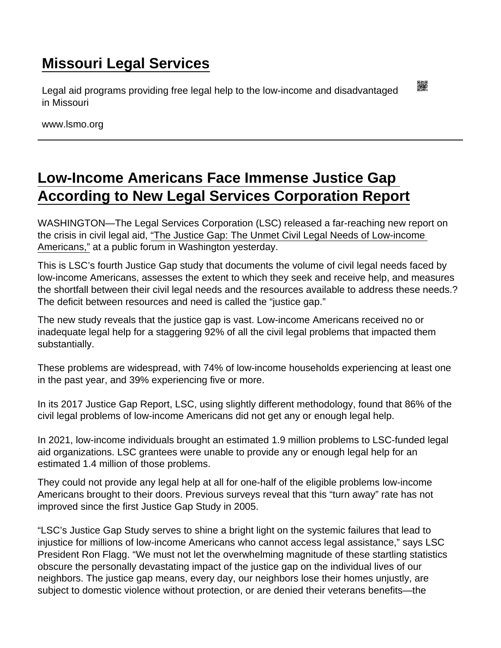## [Missouri Legal Services](https://www.lsmo.org/)

Legal aid programs providing free legal help to the low-income and disadvantaged in Missouri

www.lsmo.org

## [Low-Income Americans Face Immense Justice Gap](https://www.lsmo.org/node/946/low-income-americans-face-immense-justice-gap-according-new-legal-services-corporation)  [According to New Legal Services Corporation Report](https://www.lsmo.org/node/946/low-income-americans-face-immense-justice-gap-according-new-legal-services-corporation)

WASHINGTON—The Legal Services Corporation (LSC) released a far-reaching new report on the crisis in civil legal aid, ["The Justice Gap: The Unmet Civil Legal Needs of Low-income](https://justicegap.lsc.gov/the-report/)  [Americans,"](https://justicegap.lsc.gov/the-report/) at a public forum in Washington yesterday.

This is LSC's fourth Justice Gap study that documents the volume of civil legal needs faced by low-income Americans, assesses the extent to which they seek and receive help, and measures the shortfall between their civil legal needs and the resources available to address these needs.? The deficit between resources and need is called the "justice gap."

The new study reveals that the justice gap is vast. Low-income Americans received no or inadequate legal help for a staggering 92% of all the civil legal problems that impacted them substantially.

These problems are widespread, with 74% of low-income households experiencing at least one in the past year, and 39% experiencing five or more.

In its 2017 Justice Gap Report, LSC, using slightly different methodology, found that 86% of the civil legal problems of low-income Americans did not get any or enough legal help.

In 2021, low-income individuals brought an estimated 1.9 million problems to LSC-funded legal aid organizations. LSC grantees were unable to provide any or enough legal help for an estimated 1.4 million of those problems.

They could not provide any legal help at all for one-half of the eligible problems low-income Americans brought to their doors. Previous surveys reveal that this "turn away" rate has not improved since the first Justice Gap Study in 2005.

"LSC's Justice Gap Study serves to shine a bright light on the systemic failures that lead to injustice for millions of low-income Americans who cannot access legal assistance," says LSC President Ron Flagg. "We must not let the overwhelming magnitude of these startling statistics obscure the personally devastating impact of the justice gap on the individual lives of our neighbors. The justice gap means, every day, our neighbors lose their homes unjustly, are subject to domestic violence without protection, or are denied their veterans benefits—the